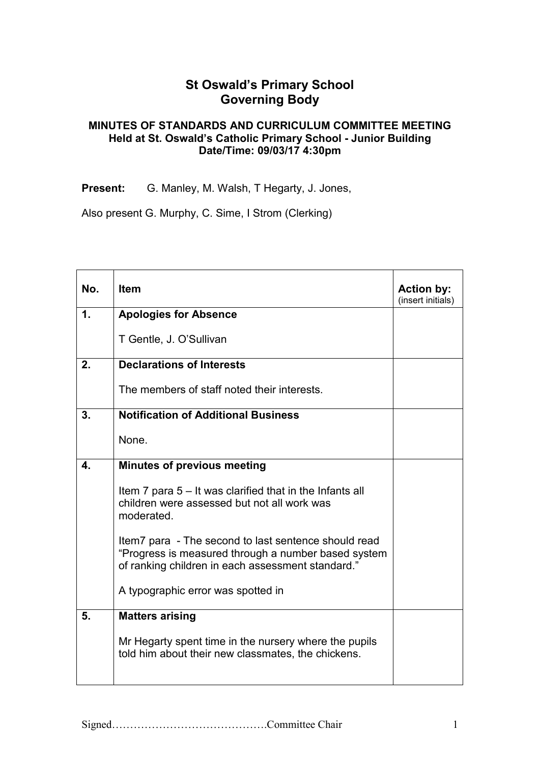## **St Oswald's Primary School Governing Body**

## **MINUTES OF STANDARDS AND CURRICULUM COMMITTEE MEETING Held at St. Oswald's Catholic Primary School - Junior Building Date/Time: 09/03/17 4:30pm**

**Present:** G. Manley, M. Walsh, T Hegarty, J. Jones,

Also present G. Murphy, C. Sime, I Strom (Clerking)

| No.                       | <b>Item</b>                                                                                                                                                      | <b>Action by:</b><br>(insert initials) |
|---------------------------|------------------------------------------------------------------------------------------------------------------------------------------------------------------|----------------------------------------|
| 1.                        | <b>Apologies for Absence</b>                                                                                                                                     |                                        |
|                           | T Gentle, J. O'Sullivan                                                                                                                                          |                                        |
| 2.                        | <b>Declarations of Interests</b>                                                                                                                                 |                                        |
|                           | The members of staff noted their interests.                                                                                                                      |                                        |
| 3.                        | <b>Notification of Additional Business</b>                                                                                                                       |                                        |
|                           | None.                                                                                                                                                            |                                        |
| $\overline{\mathbf{4}}$ . | <b>Minutes of previous meeting</b>                                                                                                                               |                                        |
|                           | Item 7 para $5 -$ It was clarified that in the Infants all<br>children were assessed but not all work was<br>moderated.                                          |                                        |
|                           | Item7 para - The second to last sentence should read<br>"Progress is measured through a number based system<br>of ranking children in each assessment standard." |                                        |
|                           | A typographic error was spotted in                                                                                                                               |                                        |
| 5.                        | <b>Matters arising</b>                                                                                                                                           |                                        |
|                           | Mr Hegarty spent time in the nursery where the pupils<br>told him about their new classmates, the chickens.                                                      |                                        |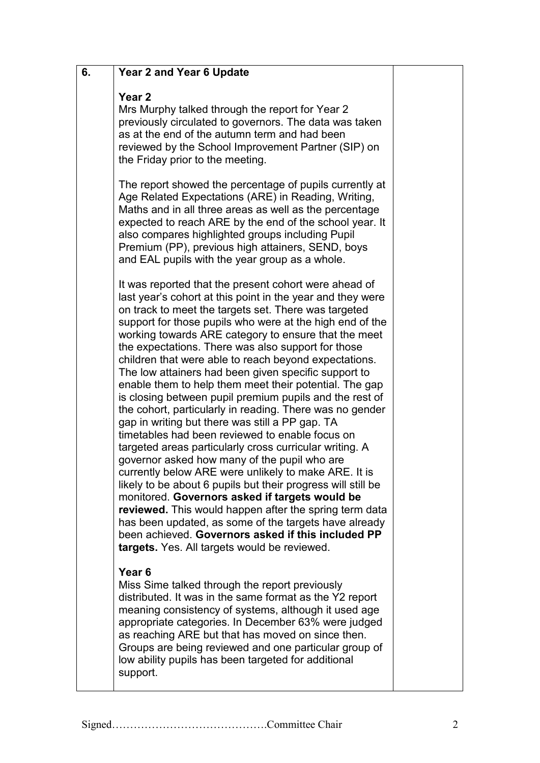| 6. | <b>Year 2 and Year 6 Update</b>                                                                                                                                                                                                                                                                                                                                                                                                                                                                                                                                                                                                                                                                                                                                                                                                                                                                                                                                                                                                                                                                                                                                                                                                                                             |  |
|----|-----------------------------------------------------------------------------------------------------------------------------------------------------------------------------------------------------------------------------------------------------------------------------------------------------------------------------------------------------------------------------------------------------------------------------------------------------------------------------------------------------------------------------------------------------------------------------------------------------------------------------------------------------------------------------------------------------------------------------------------------------------------------------------------------------------------------------------------------------------------------------------------------------------------------------------------------------------------------------------------------------------------------------------------------------------------------------------------------------------------------------------------------------------------------------------------------------------------------------------------------------------------------------|--|
|    | Year <sub>2</sub><br>Mrs Murphy talked through the report for Year 2<br>previously circulated to governors. The data was taken<br>as at the end of the autumn term and had been<br>reviewed by the School Improvement Partner (SIP) on<br>the Friday prior to the meeting.                                                                                                                                                                                                                                                                                                                                                                                                                                                                                                                                                                                                                                                                                                                                                                                                                                                                                                                                                                                                  |  |
|    | The report showed the percentage of pupils currently at<br>Age Related Expectations (ARE) in Reading, Writing,<br>Maths and in all three areas as well as the percentage<br>expected to reach ARE by the end of the school year. It<br>also compares highlighted groups including Pupil<br>Premium (PP), previous high attainers, SEND, boys<br>and EAL pupils with the year group as a whole.                                                                                                                                                                                                                                                                                                                                                                                                                                                                                                                                                                                                                                                                                                                                                                                                                                                                              |  |
|    | It was reported that the present cohort were ahead of<br>last year's cohort at this point in the year and they were<br>on track to meet the targets set. There was targeted<br>support for those pupils who were at the high end of the<br>working towards ARE category to ensure that the meet<br>the expectations. There was also support for those<br>children that were able to reach beyond expectations.<br>The low attainers had been given specific support to<br>enable them to help them meet their potential. The gap<br>is closing between pupil premium pupils and the rest of<br>the cohort, particularly in reading. There was no gender<br>gap in writing but there was still a PP gap. TA<br>timetables had been reviewed to enable focus on<br>targeted areas particularly cross curricular writing. A<br>governor asked how many of the pupil who are<br>currently below ARE were unlikely to make ARE. It is<br>likely to be about 6 pupils but their progress will still be<br>monitored. Governors asked if targets would be<br>reviewed. This would happen after the spring term data<br>has been updated, as some of the targets have already<br>been achieved. Governors asked if this included PP<br>targets. Yes. All targets would be reviewed. |  |
|    | Year <sub>6</sub><br>Miss Sime talked through the report previously<br>distributed. It was in the same format as the Y2 report<br>meaning consistency of systems, although it used age<br>appropriate categories. In December 63% were judged<br>as reaching ARE but that has moved on since then.<br>Groups are being reviewed and one particular group of<br>low ability pupils has been targeted for additional<br>support.                                                                                                                                                                                                                                                                                                                                                                                                                                                                                                                                                                                                                                                                                                                                                                                                                                              |  |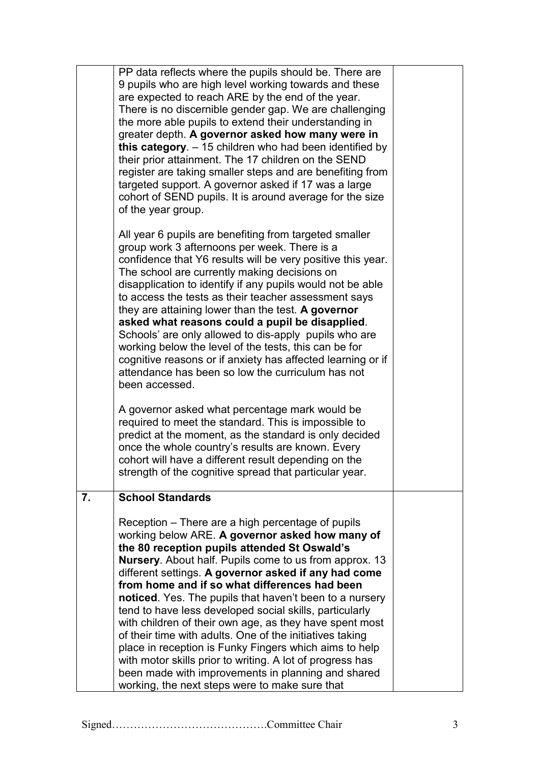| PP data reflects where the pupils should be. There are<br>9 pupils who are high level working towards and these<br>are expected to reach ARE by the end of the year.<br>There is no discernible gender gap. We are challenging<br>the more able pupils to extend their understanding in<br>greater depth. A governor asked how many were in<br>this category. $-15$ children who had been identified by<br>their prior attainment. The 17 children on the SEND<br>register are taking smaller steps and are benefiting from<br>targeted support. A governor asked if 17 was a large<br>cohort of SEND pupils. It is around average for the size<br>of the year group.                                                                                                               |                                                |
|-------------------------------------------------------------------------------------------------------------------------------------------------------------------------------------------------------------------------------------------------------------------------------------------------------------------------------------------------------------------------------------------------------------------------------------------------------------------------------------------------------------------------------------------------------------------------------------------------------------------------------------------------------------------------------------------------------------------------------------------------------------------------------------|------------------------------------------------|
| All year 6 pupils are benefiting from targeted smaller<br>group work 3 afternoons per week. There is a<br>confidence that Y6 results will be very positive this year.<br>The school are currently making decisions on<br>disapplication to identify if any pupils would not be able<br>to access the tests as their teacher assessment says<br>they are attaining lower than the test. A governor<br>asked what reasons could a pupil be disapplied.<br>Schools' are only allowed to dis-apply pupils who are<br>working below the level of the tests, this can be for<br>cognitive reasons or if anxiety has affected learning or if<br>attendance has been so low the curriculum has not<br>been accessed.                                                                        |                                                |
| A governor asked what percentage mark would be<br>required to meet the standard. This is impossible to<br>predict at the moment, as the standard is only decided<br>once the whole country's results are known. Every<br>cohort will have a different result depending on the<br>strength of the cognitive spread that particular year.                                                                                                                                                                                                                                                                                                                                                                                                                                             |                                                |
| <b>School Standards</b><br>Reception – There are a high percentage of pupils<br>working below ARE. A governor asked how many of<br>the 80 reception pupils attended St Oswald's<br><b>Nursery.</b> About half. Pupils come to us from approx. 13<br>different settings. A governor asked if any had come<br>from home and if so what differences had been<br>noticed. Yes. The pupils that haven't been to a nursery<br>tend to have less developed social skills, particularly<br>with children of their own age, as they have spent most<br>of their time with adults. One of the initiatives taking<br>place in reception is Funky Fingers which aims to help<br>with motor skills prior to writing. A lot of progress has<br>been made with improvements in planning and shared |                                                |
|                                                                                                                                                                                                                                                                                                                                                                                                                                                                                                                                                                                                                                                                                                                                                                                     | working, the next steps were to make sure that |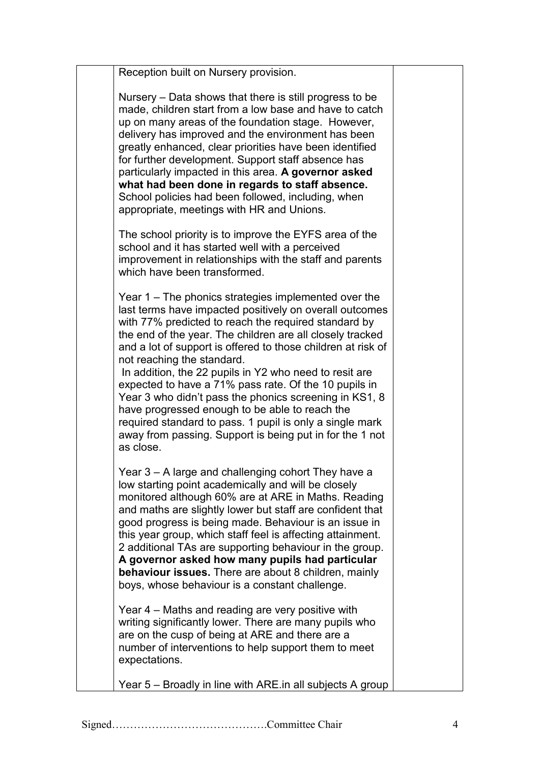| Reception built on Nursery provision.                                                                                                                                                                                                                                                                                                                                                                                                                                                                                                                                                                                                                                                                    |  |
|----------------------------------------------------------------------------------------------------------------------------------------------------------------------------------------------------------------------------------------------------------------------------------------------------------------------------------------------------------------------------------------------------------------------------------------------------------------------------------------------------------------------------------------------------------------------------------------------------------------------------------------------------------------------------------------------------------|--|
| Nursery – Data shows that there is still progress to be<br>made, children start from a low base and have to catch<br>up on many areas of the foundation stage. However,<br>delivery has improved and the environment has been<br>greatly enhanced, clear priorities have been identified<br>for further development. Support staff absence has<br>particularly impacted in this area. A governor asked<br>what had been done in regards to staff absence.<br>School policies had been followed, including, when<br>appropriate, meetings with HR and Unions.                                                                                                                                             |  |
| The school priority is to improve the EYFS area of the<br>school and it has started well with a perceived<br>improvement in relationships with the staff and parents<br>which have been transformed.                                                                                                                                                                                                                                                                                                                                                                                                                                                                                                     |  |
| Year $1 -$ The phonics strategies implemented over the<br>last terms have impacted positively on overall outcomes<br>with 77% predicted to reach the required standard by<br>the end of the year. The children are all closely tracked<br>and a lot of support is offered to those children at risk of<br>not reaching the standard.<br>In addition, the 22 pupils in Y2 who need to resit are<br>expected to have a 71% pass rate. Of the 10 pupils in<br>Year 3 who didn't pass the phonics screening in KS1, 8<br>have progressed enough to be able to reach the<br>required standard to pass. 1 pupil is only a single mark<br>away from passing. Support is being put in for the 1 not<br>as close. |  |
| Year 3 - A large and challenging cohort They have a<br>low starting point academically and will be closely<br>monitored although 60% are at ARE in Maths. Reading<br>and maths are slightly lower but staff are confident that<br>good progress is being made. Behaviour is an issue in<br>this year group, which staff feel is affecting attainment.<br>2 additional TAs are supporting behaviour in the group.<br>A governor asked how many pupils had particular<br>behaviour issues. There are about 8 children, mainly<br>boys, whose behaviour is a constant challenge.                                                                                                                            |  |
| Year 4 – Maths and reading are very positive with<br>writing significantly lower. There are many pupils who<br>are on the cusp of being at ARE and there are a<br>number of interventions to help support them to meet<br>expectations.                                                                                                                                                                                                                                                                                                                                                                                                                                                                  |  |
| Year 5 – Broadly in line with ARE in all subjects A group                                                                                                                                                                                                                                                                                                                                                                                                                                                                                                                                                                                                                                                |  |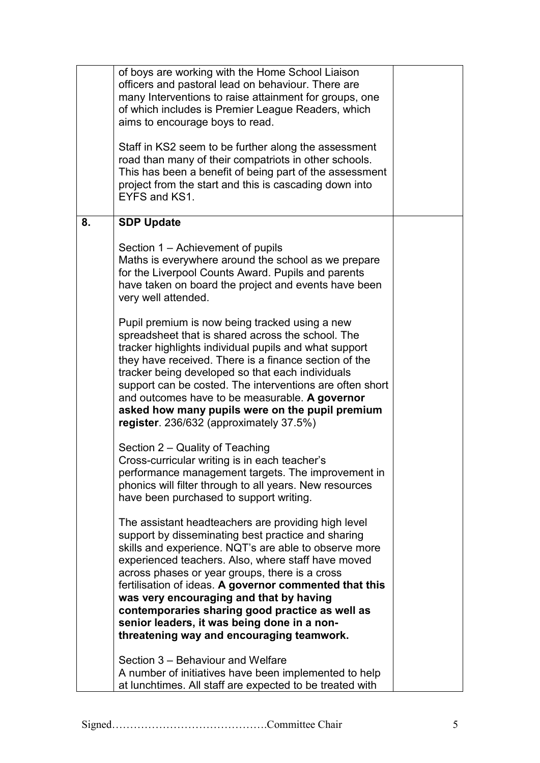|    | of boys are working with the Home School Liaison<br>officers and pastoral lead on behaviour. There are<br>many Interventions to raise attainment for groups, one<br>of which includes is Premier League Readers, which<br>aims to encourage boys to read.<br>Staff in KS2 seem to be further along the assessment<br>road than many of their compatriots in other schools.<br>This has been a benefit of being part of the assessment<br>project from the start and this is cascading down into<br>EYFS and KS1. |  |
|----|------------------------------------------------------------------------------------------------------------------------------------------------------------------------------------------------------------------------------------------------------------------------------------------------------------------------------------------------------------------------------------------------------------------------------------------------------------------------------------------------------------------|--|
| 8. | <b>SDP Update</b>                                                                                                                                                                                                                                                                                                                                                                                                                                                                                                |  |
|    | Section 1 – Achievement of pupils<br>Maths is everywhere around the school as we prepare<br>for the Liverpool Counts Award. Pupils and parents<br>have taken on board the project and events have been<br>very well attended.                                                                                                                                                                                                                                                                                    |  |
|    | Pupil premium is now being tracked using a new<br>spreadsheet that is shared across the school. The<br>tracker highlights individual pupils and what support<br>they have received. There is a finance section of the<br>tracker being developed so that each individuals<br>support can be costed. The interventions are often short<br>and outcomes have to be measurable. A governor<br>asked how many pupils were on the pupil premium<br>register. 236/632 (approximately 37.5%)                            |  |
|    | Section 2 – Quality of Teaching<br>Cross-curricular writing is in each teacher's<br>performance management targets. The improvement in<br>phonics will filter through to all years. New resources<br>have been purchased to support writing.                                                                                                                                                                                                                                                                     |  |
|    | The assistant headteachers are providing high level<br>support by disseminating best practice and sharing<br>skills and experience. NQT's are able to observe more<br>experienced teachers. Also, where staff have moved<br>across phases or year groups, there is a cross<br>fertilisation of ideas. A governor commented that this<br>was very encouraging and that by having<br>contemporaries sharing good practice as well as<br>senior leaders, it was being done in a non-                                |  |
|    | threatening way and encouraging teamwork.                                                                                                                                                                                                                                                                                                                                                                                                                                                                        |  |
|    | Section 3 – Behaviour and Welfare<br>A number of initiatives have been implemented to help<br>at lunchtimes. All staff are expected to be treated with                                                                                                                                                                                                                                                                                                                                                           |  |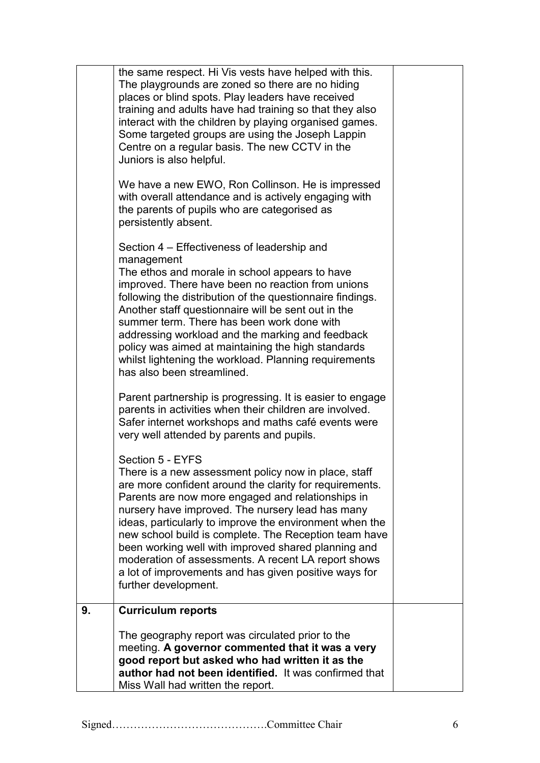|    | the same respect. Hi Vis vests have helped with this.<br>The playgrounds are zoned so there are no hiding<br>places or blind spots. Play leaders have received<br>training and adults have had training so that they also<br>interact with the children by playing organised games.<br>Some targeted groups are using the Joseph Lappin<br>Centre on a regular basis. The new CCTV in the<br>Juniors is also helpful.<br>We have a new EWO, Ron Collinson. He is impressed<br>with overall attendance and is actively engaging with<br>the parents of pupils who are categorised as<br>persistently absent. |  |
|----|-------------------------------------------------------------------------------------------------------------------------------------------------------------------------------------------------------------------------------------------------------------------------------------------------------------------------------------------------------------------------------------------------------------------------------------------------------------------------------------------------------------------------------------------------------------------------------------------------------------|--|
|    | Section 4 – Effectiveness of leadership and<br>management<br>The ethos and morale in school appears to have<br>improved. There have been no reaction from unions<br>following the distribution of the questionnaire findings.<br>Another staff questionnaire will be sent out in the<br>summer term. There has been work done with<br>addressing workload and the marking and feedback<br>policy was aimed at maintaining the high standards<br>whilst lightening the workload. Planning requirements<br>has also been streamlined.                                                                         |  |
|    | Parent partnership is progressing. It is easier to engage<br>parents in activities when their children are involved.<br>Safer internet workshops and maths café events were<br>very well attended by parents and pupils.                                                                                                                                                                                                                                                                                                                                                                                    |  |
|    | Section 5 - EYFS<br>There is a new assessment policy now in place, staff<br>are more confident around the clarity for requirements.<br>Parents are now more engaged and relationships in<br>nursery have improved. The nursery lead has many<br>ideas, particularly to improve the environment when the<br>new school build is complete. The Reception team have<br>been working well with improved shared planning and<br>moderation of assessments. A recent LA report shows<br>a lot of improvements and has given positive ways for<br>further development.                                             |  |
| 9. | <b>Curriculum reports</b>                                                                                                                                                                                                                                                                                                                                                                                                                                                                                                                                                                                   |  |
|    | The geography report was circulated prior to the<br>meeting. A governor commented that it was a very<br>good report but asked who had written it as the<br>author had not been identified. It was confirmed that<br>Miss Wall had written the report.                                                                                                                                                                                                                                                                                                                                                       |  |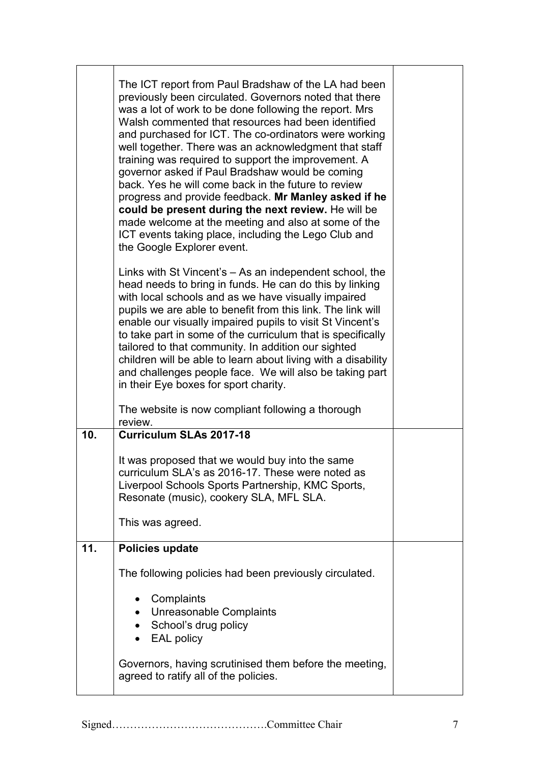|     | The ICT report from Paul Bradshaw of the LA had been<br>previously been circulated. Governors noted that there<br>was a lot of work to be done following the report. Mrs<br>Walsh commented that resources had been identified<br>and purchased for ICT. The co-ordinators were working<br>well together. There was an acknowledgment that staff<br>training was required to support the improvement. A<br>governor asked if Paul Bradshaw would be coming<br>back. Yes he will come back in the future to review<br>progress and provide feedback. Mr Manley asked if he<br>could be present during the next review. He will be<br>made welcome at the meeting and also at some of the<br>ICT events taking place, including the Lego Club and<br>the Google Explorer event. |  |
|-----|-------------------------------------------------------------------------------------------------------------------------------------------------------------------------------------------------------------------------------------------------------------------------------------------------------------------------------------------------------------------------------------------------------------------------------------------------------------------------------------------------------------------------------------------------------------------------------------------------------------------------------------------------------------------------------------------------------------------------------------------------------------------------------|--|
|     | Links with St Vincent's – As an independent school, the<br>head needs to bring in funds. He can do this by linking<br>with local schools and as we have visually impaired<br>pupils we are able to benefit from this link. The link will<br>enable our visually impaired pupils to visit St Vincent's<br>to take part in some of the curriculum that is specifically<br>tailored to that community. In addition our sighted<br>children will be able to learn about living with a disability<br>and challenges people face. We will also be taking part<br>in their Eye boxes for sport charity.                                                                                                                                                                              |  |
|     | The website is now compliant following a thorough<br>review.                                                                                                                                                                                                                                                                                                                                                                                                                                                                                                                                                                                                                                                                                                                  |  |
| 10. | <b>Curriculum SLAs 2017-18</b>                                                                                                                                                                                                                                                                                                                                                                                                                                                                                                                                                                                                                                                                                                                                                |  |
|     | It was proposed that we would buy into the same<br>curriculum SLA's as 2016-17. These were noted as<br>Liverpool Schools Sports Partnership, KMC Sports,<br>Resonate (music), cookery SLA, MFL SLA.                                                                                                                                                                                                                                                                                                                                                                                                                                                                                                                                                                           |  |
|     | This was agreed.                                                                                                                                                                                                                                                                                                                                                                                                                                                                                                                                                                                                                                                                                                                                                              |  |
| 11. | <b>Policies update</b>                                                                                                                                                                                                                                                                                                                                                                                                                                                                                                                                                                                                                                                                                                                                                        |  |
|     | The following policies had been previously circulated.                                                                                                                                                                                                                                                                                                                                                                                                                                                                                                                                                                                                                                                                                                                        |  |
|     | Complaints<br>$\bullet$<br>• Unreasonable Complaints<br>School's drug policy<br><b>EAL policy</b>                                                                                                                                                                                                                                                                                                                                                                                                                                                                                                                                                                                                                                                                             |  |
|     | Governors, having scrutinised them before the meeting,<br>agreed to ratify all of the policies.                                                                                                                                                                                                                                                                                                                                                                                                                                                                                                                                                                                                                                                                               |  |